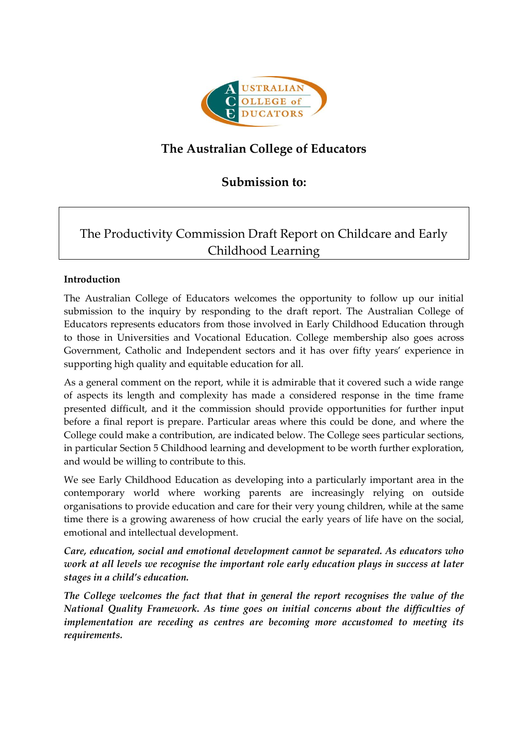

# **The Australian College of Educators**

## **Submission to:**

# The Productivity Commission Draft Report on Childcare and Early Childhood Learning

## **Introduction**

The Australian College of Educators welcomes the opportunity to follow up our initial submission to the inquiry by responding to the draft report. The Australian College of Educators represents educators from those involved in Early Childhood Education through to those in Universities and Vocational Education. College membership also goes across Government, Catholic and Independent sectors and it has over fifty years' experience in supporting high quality and equitable education for all.

As a general comment on the report, while it is admirable that it covered such a wide range of aspects its length and complexity has made a considered response in the time frame presented difficult, and it the commission should provide opportunities for further input before a final report is prepare. Particular areas where this could be done, and where the College could make a contribution, are indicated below. The College sees particular sections, in particular Section 5 Childhood learning and development to be worth further exploration, and would be willing to contribute to this.

We see Early Childhood Education as developing into a particularly important area in the contemporary world where working parents are increasingly relying on outside organisations to provide education and care for their very young children, while at the same time there is a growing awareness of how crucial the early years of life have on the social, emotional and intellectual development.

*Care, education, social and emotional development cannot be separated. As educators who work at all levels we recognise the important role early education plays in success at later stages in a child's education.*

*The College welcomes the fact that that in general the report recognises the value of the National Quality Framework. As time goes on initial concerns about the difficulties of implementation are receding as centres are becoming more accustomed to meeting its requirements.*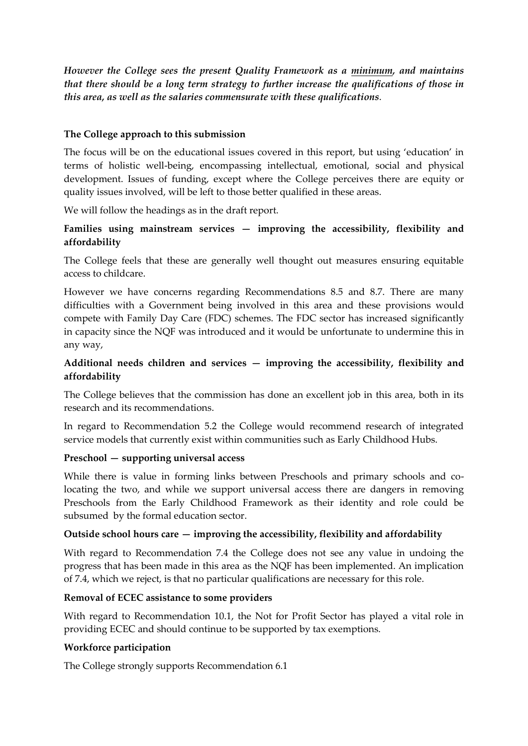*However the College sees the present Quality Framework as a minimum, and maintains that there should be a long term strategy to further increase the qualifications of those in this area, as well as the salaries commensurate with these qualifications*.

#### **The College approach to this submission**

The focus will be on the educational issues covered in this report, but using 'education' in terms of holistic well-being, encompassing intellectual, emotional, social and physical development. Issues of funding, except where the College perceives there are equity or quality issues involved, will be left to those better qualified in these areas.

We will follow the headings as in the draft report.

## **Families using mainstream services — improving the accessibility, flexibility and affordability**

The College feels that these are generally well thought out measures ensuring equitable access to childcare.

However we have concerns regarding Recommendations 8.5 and 8.7. There are many difficulties with a Government being involved in this area and these provisions would compete with Family Day Care (FDC) schemes. The FDC sector has increased significantly in capacity since the NQF was introduced and it would be unfortunate to undermine this in any way,

## **Additional needs children and services — improving the accessibility, flexibility and affordability**

The College believes that the commission has done an excellent job in this area, both in its research and its recommendations.

In regard to Recommendation 5.2 the College would recommend research of integrated service models that currently exist within communities such as Early Childhood Hubs.

#### **Preschool — supporting universal access**

While there is value in forming links between Preschools and primary schools and colocating the two, and while we support universal access there are dangers in removing Preschools from the Early Childhood Framework as their identity and role could be subsumed by the formal education sector.

## **Outside school hours care — improving the accessibility, flexibility and affordability**

With regard to Recommendation 7.4 the College does not see any value in undoing the progress that has been made in this area as the NQF has been implemented. An implication of 7.4, which we reject, is that no particular qualifications are necessary for this role.

#### **Removal of ECEC assistance to some providers**

With regard to Recommendation 10.1, the Not for Profit Sector has played a vital role in providing ECEC and should continue to be supported by tax exemptions.

#### **Workforce participation**

The College strongly supports Recommendation 6.1